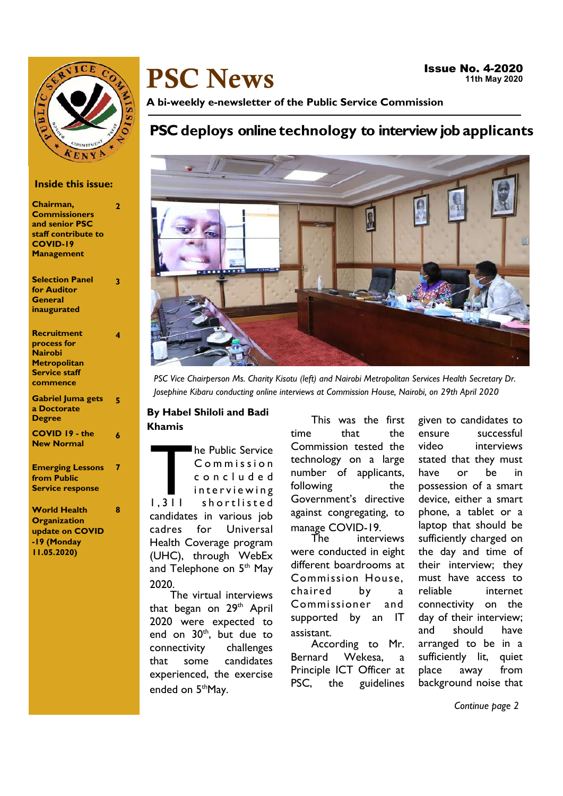

# PSC News

A bi-weekly e-newsletter of the Public Service Commission

## PSC deploys online technology to interview job applicants



PSC Vice Chairperson Ms. Charity Kisotu (left) and Nairobi Metropolitan Services Health Secretary Dr. Josephine Kibaru conducting online interviews at Commission House, Nairobi, on 29th April 2020

## By Habel Shiloli and Badi Khamis

 $1.311$ he Public Service C o m m i s s i o n c o n c l u d e d interviewing shortlisted candidates in various job cadres for Universal Health Coverage program (UHC), through WebEx and Telephone on 5<sup>th</sup> May 2020.

The virtual interviews that began on 29<sup>th</sup> April 2020 were expected to end on  $30<sup>th</sup>$ , but due to connectivity challenges that some candidates experienced, the exercise ended on 5<sup>th</sup>May.

This was the first time that the Commission tested the technology on a large number of applicants, following the Government's directive against congregating, to manage COVID-19.

The interviews were conducted in eight different boardrooms at Commission House, chaired by a Commissioner and supported by an IT assistant.

According to Mr. Bernard Wekesa, a Principle ICT Officer at PSC, the guidelines

given to candidates to ensure successful video interviews stated that they must have or be in possession of a smart device, either a smart phone, a tablet or a laptop that should be sufficiently charged on the day and time of their interview; they must have access to reliable internet connectivity on the day of their interview; and should have arranged to be in a sufficiently lit, quiet place away from background noise that

Continue page 2

## Inside this issue:

| Chairman,<br><b>Commissioners</b><br>and senior PSC<br>staff contribute to<br><b>COVID-19</b><br><b>Management</b> | $\overline{2}$ |
|--------------------------------------------------------------------------------------------------------------------|----------------|
| <b>Selection Panel</b><br>for Auditor<br>General<br>inaugurated                                                    | 3              |
| Recruitment<br>process for<br><b>Nairobi</b><br>Metropolitan<br><b>Service staff</b><br>commence                   | 4              |
| <b>Gabriel Juma gets</b><br>a Doctorate<br><b>Degree</b>                                                           | 5              |
| <b>COVID 19 - the</b><br><b>New Normal</b>                                                                         | 6              |
| <b>Emerging Lessons</b><br>from Public<br><b>Service response</b>                                                  | 7              |
| <b>World Health</b>                                                                                                | 8              |

**Organization** update on COVID -19 (Monday 11.05.2020)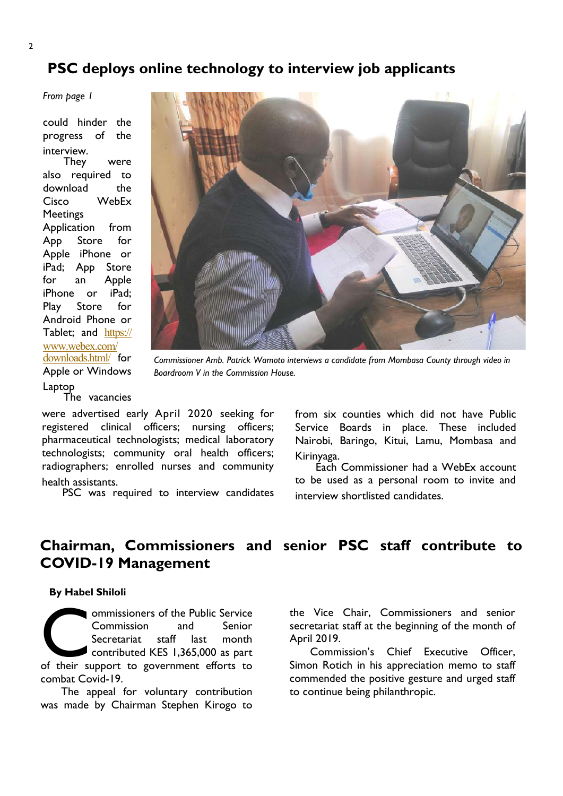## PSC deploys online technology to interview job applicants

From page 1

could hinder the progress of the interview.

They were also required to download the Cisco WebEx **Meetings** Application from App Store for Apple iPhone or iPad; App Store for an Apple iPhone or iPad; Play Store for Android Phone or Tablet; and https:// www.webex.com/ downloads.html/ for Apple or Windows Laptop The vacancies



Commissioner Amb. Patrick Wamoto interviews a candidate from Mombasa County through video in Boardroom V in the Commission House.

were advertised early April 2020 seeking for registered clinical officers; nursing officers; pharmaceutical technologists; medical laboratory technologists; community oral health officers; radiographers; enrolled nurses and community health assistants.

PSC was required to interview candidates

from six counties which did not have Public Service Boards in place. These included Nairobi, Baringo, Kitui, Lamu, Mombasa and Kirinyaga.

Each Commissioner had a WebEx account to be used as a personal room to invite and interview shortlisted candidates.

## Chairman, Commissioners and senior PSC staff contribute to COVID-19 Management

#### By Habel Shiloli

ommissioners of the Public Service<br>Commission and Senior<br>Secretariat staff last month<br>contributed KES 1,365,000 as part<br>of their support to government efforts to ommissioners of the Public Service Commission and Senior Secretariat staff last month contributed KES 1,365,000 as part combat Covid-19.

The appeal for voluntary contribution was made by Chairman Stephen Kirogo to

the Vice Chair, Commissioners and senior secretariat staff at the beginning of the month of April 2019.

Commission's Chief Executive Officer, Simon Rotich in his appreciation memo to staff commended the positive gesture and urged staff to continue being philanthropic.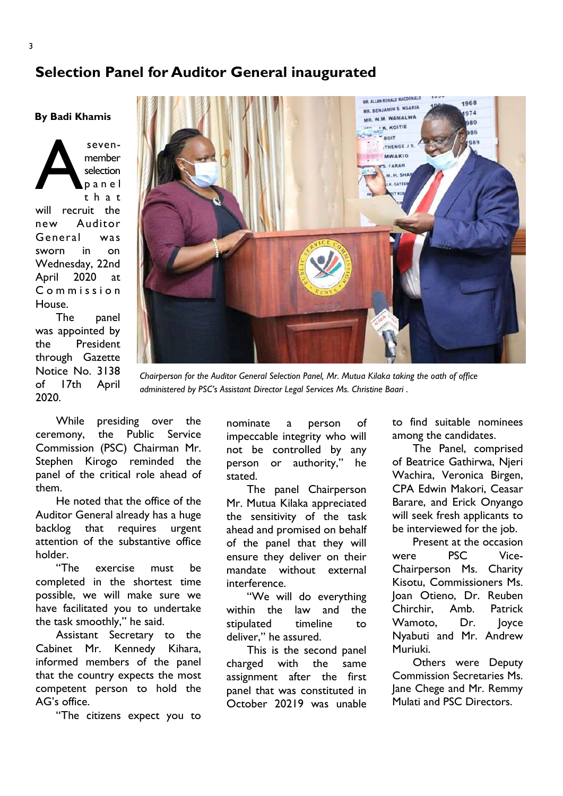## Selection Panel for Auditor General inaugurated

By Badi Khamis

A sevenmember selection p a n e l t h a t will recruit the new Auditor General was sworn in on Wednesday, 22nd April 2020 at C o m m i s s i o n House.

The panel was appointed by the President through Gazette Notice No. 3138 of 17th April 2020.



Chairperson for the Auditor General Selection Panel, Mr. Mutua Kilaka taking the oath of office administered by PSC's Assistant Director Legal Services Ms. Christine Baari .

While presiding over the ceremony, the Public Service Commission (PSC) Chairman Mr. Stephen Kirogo reminded the panel of the critical role ahead of them.

He noted that the office of the Auditor General already has a huge backlog that requires urgent attention of the substantive office holder.

"The exercise must be completed in the shortest time possible, we will make sure we have facilitated you to undertake the task smoothly," he said.

Assistant Secretary to the Cabinet Mr. Kennedy Kihara, informed members of the panel that the country expects the most competent person to hold the AG's office.

"The citizens expect you to

nominate a person of impeccable integrity who will not be controlled by any person or authority," he stated.

The panel Chairperson Mr. Mutua Kilaka appreciated the sensitivity of the task ahead and promised on behalf of the panel that they will ensure they deliver on their mandate without external interference.

"We will do everything within the law and the stipulated timeline to deliver," he assured.

This is the second panel charged with the same assignment after the first panel that was constituted in October 20219 was unable to find suitable nominees among the candidates.

The Panel, comprised of Beatrice Gathirwa, Njeri Wachira, Veronica Birgen, CPA Edwin Makori, Ceasar Barare, and Erick Onyango will seek fresh applicants to be interviewed for the job.

Present at the occasion were PSC Vice-Chairperson Ms. Charity Kisotu, Commissioners Ms. Joan Otieno, Dr. Reuben Chirchir, Amb. Patrick Wamoto, Dr. Joyce Nyabuti and Mr. Andrew Muriuki.

Others were Deputy Commission Secretaries Ms. Jane Chege and Mr. Remmy Mulati and PSC Directors.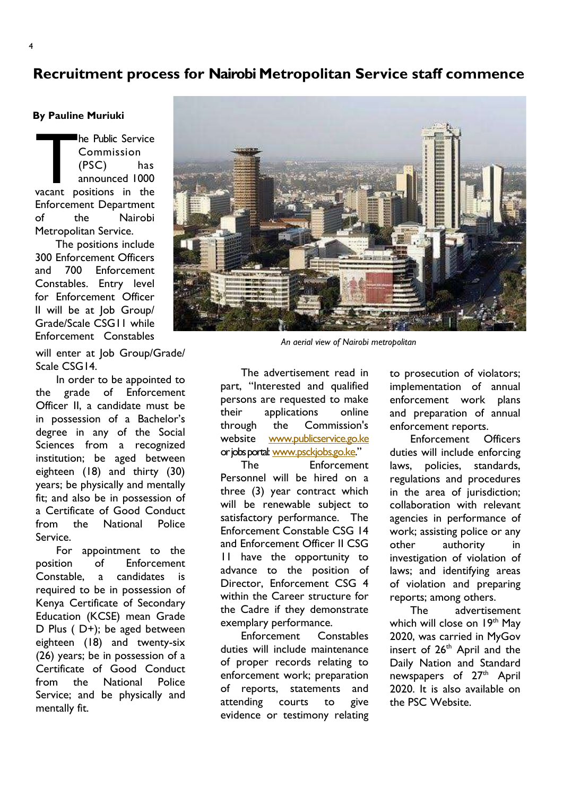## Recruitment process for Nairobi Metropolitan Service staff commence

#### By Pauline Muriuki

The Public Service<br>
Commission<br>
(PSC) has<br>
announced 1000<br>
vacant positions in the he Public Service Commission (PSC) has announced 1000 Enforcement Department of the Nairobi Metropolitan Service.

The positions include 300 Enforcement Officers and 700 Enforcement Constables. Entry level for Enforcement Officer II will be at Job Group/ Grade/Scale CSG11 while Enforcement Constables

will enter at Job Group/Grade/ Scale CSG14.

In order to be appointed to the grade of Enforcement Officer II, a candidate must be in possession of a Bachelor's degree in any of the Social Sciences from a recognized institution; be aged between eighteen (18) and thirty (30) years; be physically and mentally fit; and also be in possession of a Certificate of Good Conduct from the National Police Service.

For appointment to the position of Enforcement Constable, a candidates is required to be in possession of Kenya Certificate of Secondary Education (KCSE) mean Grade D Plus ( D+); be aged between eighteen (18) and twenty-six (26) years; be in possession of a Certificate of Good Conduct from the National Police Service; and be physically and mentally fit.



An aerial view of Nairobi metropolitan

The advertisement read in part, "Interested and qualified persons are requested to make their applications online through the Commission's website www.publicservice.go.ke or jobs portal: www.psckjobs.go.ke."

The Enforcement Personnel will be hired on a three (3) year contract which will be renewable subject to satisfactory performance. The Enforcement Constable CSG 14 and Enforcement Officer II CSG 11 have the opportunity to advance to the position of Director, Enforcement CSG 4 within the Career structure for the Cadre if they demonstrate exemplary performance.

Enforcement Constables duties will include maintenance of proper records relating to enforcement work; preparation of reports, statements and attending courts to give evidence or testimony relating

to prosecution of violators; implementation of annual enforcement work plans and preparation of annual enforcement reports.

Enforcement Officers duties will include enforcing laws, policies, standards, regulations and procedures in the area of jurisdiction; collaboration with relevant agencies in performance of work; assisting police or any other authority in investigation of violation of laws; and identifying areas of violation and preparing reports; among others.

The advertisement which will close on 19<sup>th</sup> May 2020, was carried in MyGov insert of 26<sup>th</sup> April and the Daily Nation and Standard newspapers of 27<sup>th</sup> April 2020. It is also available on the PSC Website.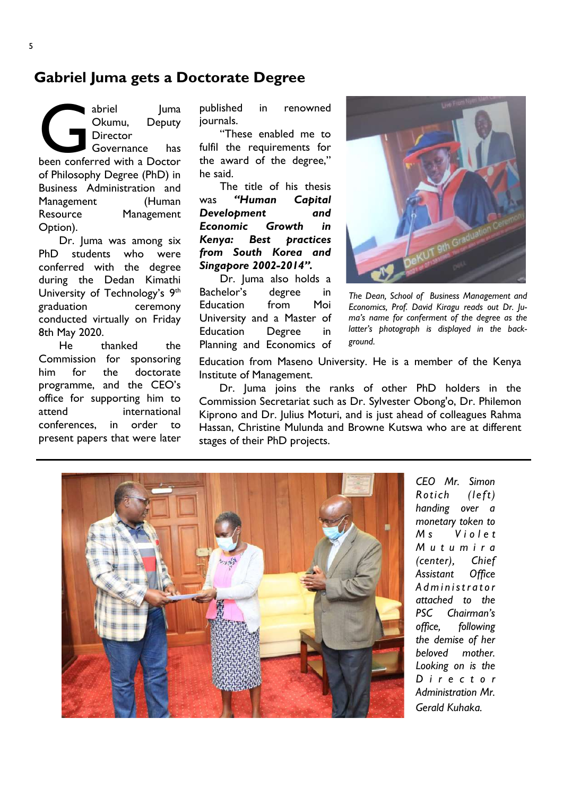## Gabriel Juma gets a Doctorate Degree

abriel Juma<br>Okumu, Deputy<br>Director<br>Governance has<br>been conferred with a Doctor abriel Juma Okumu, Deputy **Director** Governance has of Philosophy Degree (PhD) in Business Administration and Management (Human Resource Management Option).

Dr. Juma was among six PhD students who were conferred with the degree during the Dedan Kimathi University of Technology's 9<sup>th</sup> graduation ceremony conducted virtually on Friday 8th May 2020.

He thanked the Commission for sponsoring him for the doctorate programme, and the CEO's office for supporting him to attend international conferences, in order to present papers that were later

published in renowned journals.

"These enabled me to fulfil the requirements for the award of the degree," he said.

The title of his thesis was "Human Capital Development and Economic Growth in Kenya: Best practices from South Korea and Singapore 2002-2014".

Dr. Juma also holds a Bachelor's degree in Education from Moi University and a Master of Education Degree in Planning and Economics of



The Dean, School of Business Management and Economics, Prof. David Kiragu reads out Dr. Juma's name for conferment of the degree as the latter's photograph is displayed in the background.

Education from Maseno University. He is a member of the Kenya Institute of Management.

Dr. Juma joins the ranks of other PhD holders in the Commission Secretariat such as Dr. Sylvester Obong'o, Dr. Philemon Kiprono and Dr. Julius Moturi, and is just ahead of colleagues Rahma Hassan, Christine Mulunda and Browne Kutswa who are at different stages of their PhD projects.



CEO Mr. Simon Rotich (left) handing over a monetary token to M<sub>s</sub> Violet M u t u m i r a (center), Chief Assistant Office Administrator attached to the PSC Chairman's office, following the demise of her beloved mother. Looking on is the D i r e c t o r Administration Mr. Gerald Kuhaka.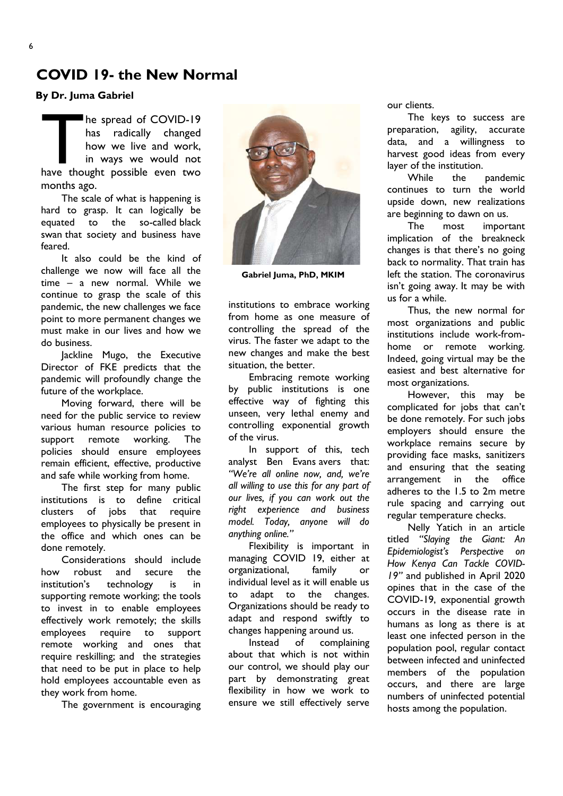By Dr. Juma Gabriel

The spread of COVID-19<br>has radically changed<br>how we live and work,<br>in ways we would not<br>have thought possible even two he spread of COVID-19 has radically changed how we live and work, in ways we would not months ago.

The scale of what is happening is hard to grasp. It can logically be equated to the so-called black swan that society and business have feared.

It also could be the kind of challenge we now will face all the time – a new normal. While we continue to grasp the scale of this pandemic, the new challenges we face point to more permanent changes we must make in our lives and how we do business.

Jackline Mugo, the Executive Director of FKE predicts that the pandemic will profoundly change the future of the workplace.

Moving forward, there will be need for the public service to review various human resource policies to support remote working. The policies should ensure employees remain efficient, effective, productive and safe while working from home.

The first step for many public institutions is to define critical clusters of jobs that require employees to physically be present in the office and which ones can be done remotely.

Considerations should include how robust and secure the institution's technology is in supporting remote working; the tools to invest in to enable employees effectively work remotely; the skills employees require to support remote working and ones that require reskilling; and the strategies that need to be put in place to help hold employees accountable even as they work from home.

The government is encouraging



Gabriel Juma, PhD, MKIM

institutions to embrace working from home as one measure of controlling the spread of the virus. The faster we adapt to the new changes and make the best situation, the better.

Embracing remote working by public institutions is one effective way of fighting this unseen, very lethal enemy and controlling exponential growth of the virus.

In support of this, tech analyst Ben Evans avers that: "We're all online now, and, we're all willing to use this for any part of our lives, if you can work out the right experience and business model. Today, anyone will do anything online."

Flexibility is important in managing COVID 19, either at organizational, family or individual level as it will enable us to adapt to the changes. Organizations should be ready to adapt and respond swiftly to changes happening around us.

Instead of complaining about that which is not within our control, we should play our part by demonstrating great flexibility in how we work to ensure we still effectively serve our clients.

The keys to success are preparation, agility, accurate data, and a willingness to harvest good ideas from every layer of the institution.

While the pandemic continues to turn the world upside down, new realizations are beginning to dawn on us.

The most important implication of the breakneck changes is that there's no going back to normality. That train has left the station. The coronavirus isn't going away. It may be with us for a while.

Thus, the new normal for most organizations and public institutions include work-fromhome or remote working. Indeed, going virtual may be the easiest and best alternative for most organizations.

However, this may be complicated for jobs that can't be done remotely. For such jobs employers should ensure the workplace remains secure by providing face masks, sanitizers and ensuring that the seating arrangement in the office adheres to the 1.5 to 2m metre rule spacing and carrying out regular temperature checks.

Nelly Yatich in an article titled "Slaying the Giant: An Epidemiologist's Perspective on How Kenya Can Tackle COVID-19" and published in April 2020 opines that in the case of the COVID-19, exponential growth occurs in the disease rate in humans as long as there is at least one infected person in the population pool, regular contact between infected and uninfected members of the population occurs, and there are large numbers of uninfected potential hosts among the population.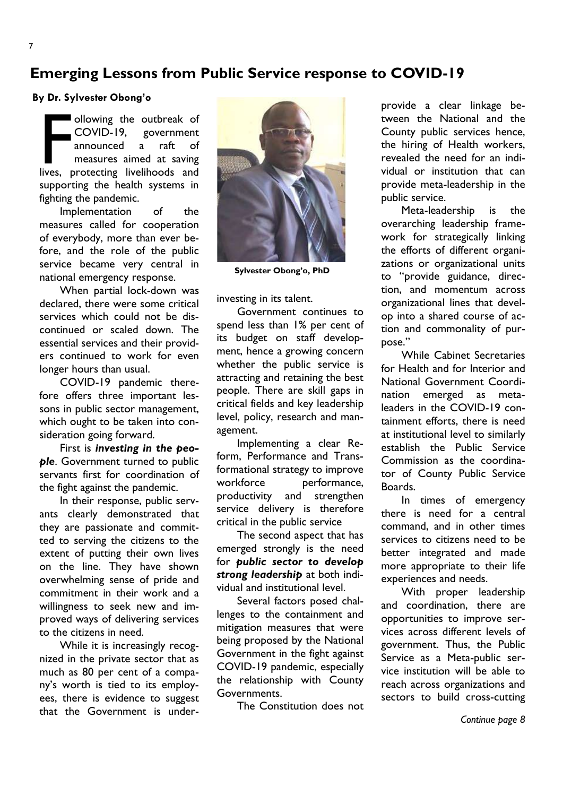## Emerging Lessons from Public Service response to COVID-19

#### By Dr. Sylvester Obong'o

ollowing the outbreak of<br>COVID-19, government<br>announced a raft of<br>measures aimed at saving<br>lives, protecting livelihoods and ollowing the outbreak of COVID-19, government announced a raft of measures aimed at saving supporting the health systems in fighting the pandemic.

Implementation of the measures called for cooperation of everybody, more than ever before, and the role of the public service became very central in national emergency response.

When partial lock-down was declared, there were some critical services which could not be discontinued or scaled down. The essential services and their providers continued to work for even longer hours than usual.

COVID-19 pandemic therefore offers three important lessons in public sector management, which ought to be taken into consideration going forward.

First is investing in the people. Government turned to public servants first for coordination of the fight against the pandemic.

In their response, public servants clearly demonstrated that they are passionate and committed to serving the citizens to the extent of putting their own lives on the line. They have shown overwhelming sense of pride and commitment in their work and a willingness to seek new and improved ways of delivering services to the citizens in need.

While it is increasingly recognized in the private sector that as much as 80 per cent of a company's worth is tied to its employees, there is evidence to suggest that the Government is under-



Sylvester Obong'o, PhD

investing in its talent.

Government continues to spend less than 1% per cent of its budget on staff development, hence a growing concern whether the public service is attracting and retaining the best people. There are skill gaps in critical fields and key leadership level, policy, research and management.

Implementing a clear Reform, Performance and Transformational strategy to improve workforce performance, productivity and strengthen service delivery is therefore critical in the public service

The second aspect that has emerged strongly is the need for public sector to develop strong leadership at both individual and institutional level.

Several factors posed challenges to the containment and mitigation measures that were being proposed by the National Government in the fight against COVID-19 pandemic, especially the relationship with County Governments.

The Constitution does not

provide a clear linkage between the National and the County public services hence, the hiring of Health workers, revealed the need for an individual or institution that can provide meta-leadership in the public service.

Meta-leadership is the overarching leadership framework for strategically linking the efforts of different organizations or organizational units to "provide guidance, direction, and momentum across organizational lines that develop into a shared course of action and commonality of purpose."

While Cabinet Secretaries for Health and for Interior and National Government Coordination emerged as metaleaders in the COVID-19 containment efforts, there is need at institutional level to similarly establish the Public Service Commission as the coordinator of County Public Service Boards.

In times of emergency there is need for a central command, and in other times services to citizens need to be better integrated and made more appropriate to their life experiences and needs.

With proper leadership and coordination, there are opportunities to improve services across different levels of government. Thus, the Public Service as a Meta-public service institution will be able to reach across organizations and sectors to build cross-cutting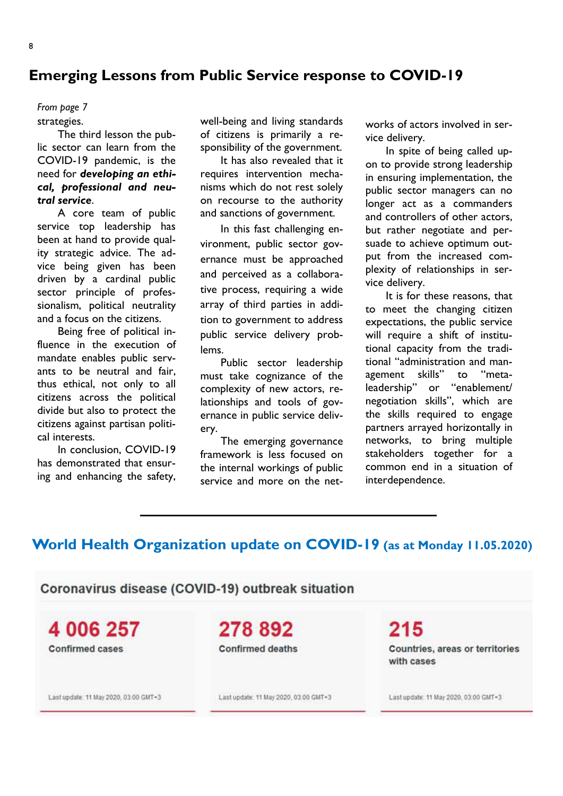## Emerging Lessons from Public Service response to COVID-19

# From page 7

strategies.

The third lesson the public sector can learn from the COVID-19 pandemic, is the need for developing an ethical, professional and neutral service.

A core team of public service top leadership has been at hand to provide quality strategic advice. The advice being given has been driven by a cardinal public sector principle of professionalism, political neutrality and a focus on the citizens.

Being free of political influence in the execution of mandate enables public servants to be neutral and fair, thus ethical, not only to all citizens across the political divide but also to protect the citizens against partisan political interests.

In conclusion, COVID-19 has demonstrated that ensuring and enhancing the safety, well-being and living standards of citizens is primarily a responsibility of the government.

It has also revealed that it requires intervention mechanisms which do not rest solely on recourse to the authority and sanctions of government.

In this fast challenging environment, public sector governance must be approached and perceived as a collaborative process, requiring a wide array of third parties in addition to government to address public service delivery problems.

Public sector leadership must take cognizance of the complexity of new actors, relationships and tools of governance in public service delivery.

The emerging governance framework is less focused on the internal workings of public service and more on the networks of actors involved in service delivery.

In spite of being called upon to provide strong leadership in ensuring implementation, the public sector managers can no longer act as a commanders and controllers of other actors, but rather negotiate and persuade to achieve optimum output from the increased complexity of relationships in service delivery.

It is for these reasons, that to meet the changing citizen expectations, the public service will require a shift of institutional capacity from the traditional "administration and management skills" to "metaleadership" or "enablement/ negotiation skills", which are the skills required to engage partners arrayed horizontally in networks, to bring multiple stakeholders together for a common end in a situation of interdependence.

## World Health Organization update on COVID-19 (as at Monday 11.05.2020)

Coronavirus disease (COVID-19) outbreak situation

4 006 257 **Confirmed cases** 

278892 **Confirmed deaths** 

Countries, areas or territories with cases

Last update: 11 May 2020, 03:00 GMT+3

Last update: 11 May 2020, 03:00 GMT+3

Last update: 11 May 2020, 03:00 GMT+3